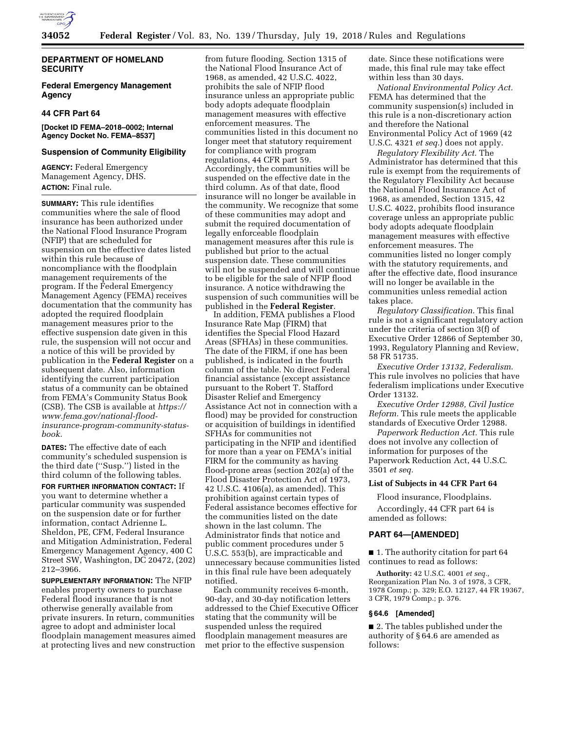

## **DEPARTMENT OF HOMELAND SECURITY**

# **Federal Emergency Management Agency**

## **44 CFR Part 64**

## **[Docket ID FEMA–2018–0002; Internal Agency Docket No. FEMA–8537]**

## **Suspension of Community Eligibility**

**AGENCY:** Federal Emergency Management Agency, DHS. **ACTION:** Final rule.

**SUMMARY:** This rule identifies communities where the sale of flood insurance has been authorized under the National Flood Insurance Program (NFIP) that are scheduled for suspension on the effective dates listed within this rule because of noncompliance with the floodplain management requirements of the program. If the Federal Emergency Management Agency (FEMA) receives documentation that the community has adopted the required floodplain management measures prior to the effective suspension date given in this rule, the suspension will not occur and a notice of this will be provided by publication in the **Federal Register** on a subsequent date. Also, information identifying the current participation status of a community can be obtained from FEMA's Community Status Book (CSB). The CSB is available at *[https://](https://www.fema.gov/national-flood-insurance-program-community-status-book)  [www.fema.gov/national-flood](https://www.fema.gov/national-flood-insurance-program-community-status-book)[insurance-program-community-status](https://www.fema.gov/national-flood-insurance-program-community-status-book)[book.](https://www.fema.gov/national-flood-insurance-program-community-status-book)* 

**DATES:** The effective date of each community's scheduled suspension is the third date (''Susp.'') listed in the third column of the following tables.

**FOR FURTHER INFORMATION CONTACT:** If you want to determine whether a particular community was suspended on the suspension date or for further information, contact Adrienne L. Sheldon, PE, CFM, Federal Insurance and Mitigation Administration, Federal Emergency Management Agency, 400 C Street SW, Washington, DC 20472, (202) 212–3966.

**SUPPLEMENTARY INFORMATION:** The NFIP enables property owners to purchase Federal flood insurance that is not otherwise generally available from private insurers. In return, communities agree to adopt and administer local floodplain management measures aimed at protecting lives and new construction

from future flooding. Section 1315 of the National Flood Insurance Act of 1968, as amended, 42 U.S.C. 4022, prohibits the sale of NFIP flood insurance unless an appropriate public body adopts adequate floodplain management measures with effective enforcement measures. The communities listed in this document no longer meet that statutory requirement for compliance with program regulations, 44 CFR part 59. Accordingly, the communities will be suspended on the effective date in the third column. As of that date, flood insurance will no longer be available in the community. We recognize that some of these communities may adopt and submit the required documentation of legally enforceable floodplain management measures after this rule is published but prior to the actual suspension date. These communities will not be suspended and will continue to be eligible for the sale of NFIP flood insurance. A notice withdrawing the suspension of such communities will be published in the **Federal Register**.

In addition, FEMA publishes a Flood Insurance Rate Map (FIRM) that identifies the Special Flood Hazard Areas (SFHAs) in these communities. The date of the FIRM, if one has been published, is indicated in the fourth column of the table. No direct Federal financial assistance (except assistance pursuant to the Robert T. Stafford Disaster Relief and Emergency Assistance Act not in connection with a flood) may be provided for construction or acquisition of buildings in identified SFHAs for communities not participating in the NFIP and identified for more than a year on FEMA's initial FIRM for the community as having flood-prone areas (section 202(a) of the Flood Disaster Protection Act of 1973, 42 U.S.C. 4106(a), as amended). This prohibition against certain types of Federal assistance becomes effective for the communities listed on the date shown in the last column. The Administrator finds that notice and public comment procedures under 5 U.S.C. 553(b), are impracticable and unnecessary because communities listed in this final rule have been adequately notified.

Each community receives 6-month, 90-day, and 30-day notification letters addressed to the Chief Executive Officer stating that the community will be suspended unless the required floodplain management measures are met prior to the effective suspension

date. Since these notifications were made, this final rule may take effect within less than 30 days.

*National Environmental Policy Act.*  FEMA has determined that the community suspension(s) included in this rule is a non-discretionary action and therefore the National Environmental Policy Act of 1969 (42 U.S.C. 4321 *et seq.*) does not apply.

*Regulatory Flexibility Act.* The Administrator has determined that this rule is exempt from the requirements of the Regulatory Flexibility Act because the National Flood Insurance Act of 1968, as amended, Section 1315, 42 U.S.C. 4022, prohibits flood insurance coverage unless an appropriate public body adopts adequate floodplain management measures with effective enforcement measures. The communities listed no longer comply with the statutory requirements, and after the effective date, flood insurance will no longer be available in the communities unless remedial action takes place.

*Regulatory Classification.* This final rule is not a significant regulatory action under the criteria of section 3(f) of Executive Order 12866 of September 30, 1993, Regulatory Planning and Review, 58 FR 51735.

*Executive Order 13132, Federalism.*  This rule involves no policies that have federalism implications under Executive Order 13132.

*Executive Order 12988, Civil Justice Reform.* This rule meets the applicable standards of Executive Order 12988.

*Paperwork Reduction Act.* This rule does not involve any collection of information for purposes of the Paperwork Reduction Act, 44 U.S.C. 3501 *et seq.* 

#### **List of Subjects in 44 CFR Part 64**

Flood insurance, Floodplains.

Accordingly, 44 CFR part 64 is amended as follows:

## **PART 64—[AMENDED]**

■ 1. The authority citation for part 64 continues to read as follows:

**Authority:** 42 U.S.C. 4001 *et seq.,*  Reorganization Plan No. 3 of 1978, 3 CFR, 1978 Comp.; p. 329; E.O. 12127, 44 FR 19367, 3 CFR, 1979 Comp.; p. 376.

#### **§ 64.6 [Amended]**

■ 2. The tables published under the authority of § 64.6 are amended as follows: